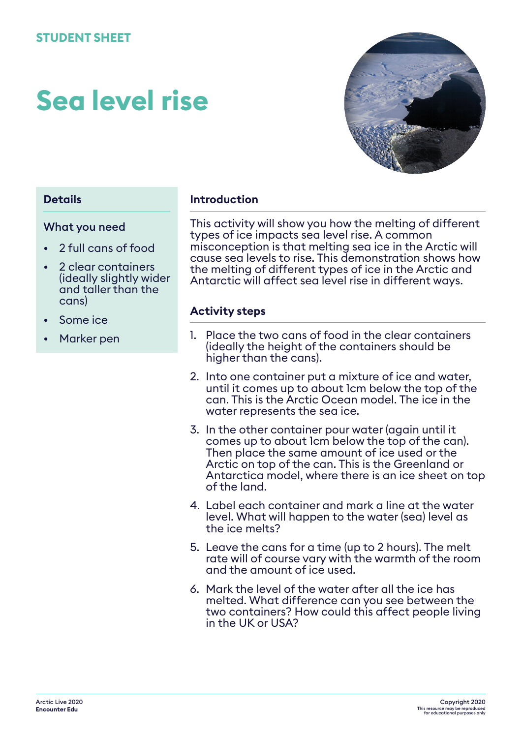# **Sea level rise**



#### **Details**

#### What you need

- 2 full cans of food
- 2 clear containers (ideally slightly wider and taller than the cans)
- Some ice
- Marker pen

#### **Introduction**

This activity will show you how the melting of different types of ice impacts sea level rise. A common misconception is that melting sea ice in the Arctic will cause sea levels to rise. This demonstration shows how the melting of different types of ice in the Arctic and Antarctic will affect sea level rise in different ways.

#### **Activity steps**

- 1. Place the two cans of food in the clear containers (ideally the height of the containers should be higher than the cans).
- 2. Into one container put a mixture of ice and water, until it comes up to about 1cm below the top of the can. This is the Arctic Ocean model. The ice in the water represents the sea ice.
- 3. In the other container pour water (again until it comes up to about 1cm below the top of the can). Then place the same amount of ice used or the Arctic on top of the can. This is the Greenland or Antarctica model, where there is an ice sheet on top of the land.
- 4. Label each container and mark a line at the water level. What will happen to the water (sea) level as the ice melts?
- 5. Leave the cans for a time (up to 2 hours). The melt rate will of course vary with the warmth of the room and the amount of ice used.
- 6. Mark the level of the water after all the ice has melted. What difference can you see between the two containers? How could this affect people living in the UK or USA?